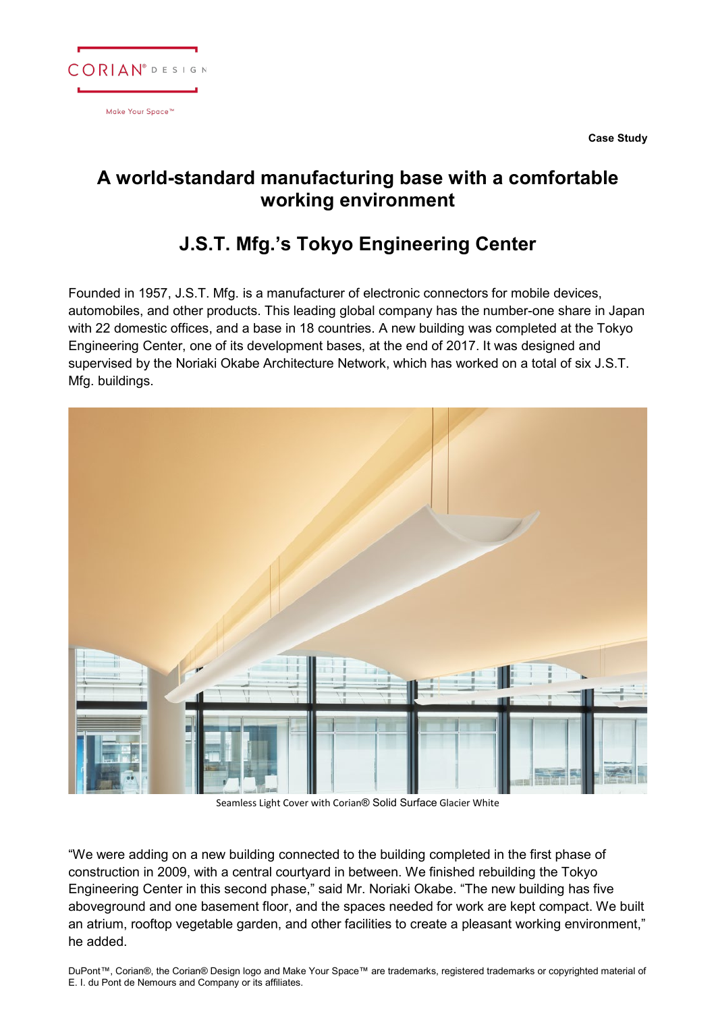

**Case Study**

## **A world-standard manufacturing base with a comfortable working environment**

## **J.S.T. Mfg.'s Tokyo Engineering Center**

Founded in 1957, J.S.T. Mfg. is a manufacturer of electronic connectors for mobile devices, automobiles, and other products. This leading global company has the number-one share in Japan with 22 domestic offices, and a base in 18 countries. A new building was completed at the Tokyo Engineering Center, one of its development bases, at the end of 2017. It was designed and supervised by the Noriaki Okabe Architecture Network, which has worked on a total of six J.S.T. Mfg. buildings.



Seamless Light Cover with Corian® Solid Surface Glacier White

"We were adding on a new building connected to the building completed in the first phase of construction in 2009, with a central courtyard in between. We finished rebuilding the Tokyo Engineering Center in this second phase," said Mr. Noriaki Okabe. "The new building has five aboveground and one basement floor, and the spaces needed for work are kept compact. We built an atrium, rooftop vegetable garden, and other facilities to create a pleasant working environment," he added.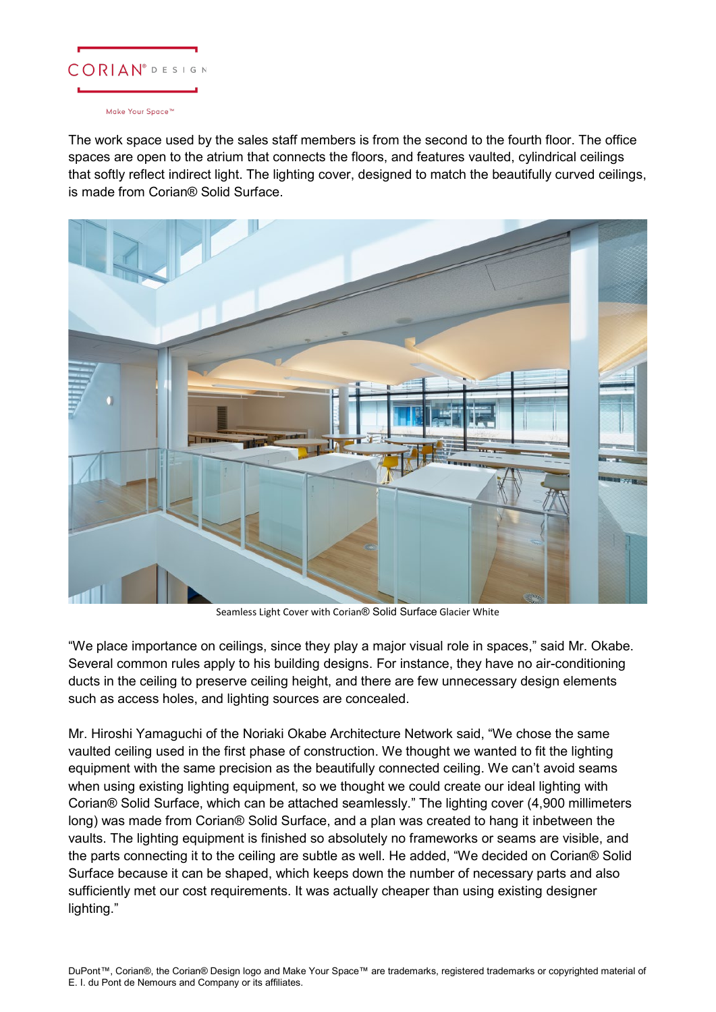

## Make Your Space<sup>™</sup>

The work space used by the sales staff members is from the second to the fourth floor. The office spaces are open to the atrium that connects the floors, and features vaulted, cylindrical ceilings that softly reflect indirect light. The lighting cover, designed to match the beautifully curved ceilings, is made from Corian® Solid Surface.



Seamless Light Cover with Corian® Solid Surface Glacier White

"We place importance on ceilings, since they play a major visual role in spaces," said Mr. Okabe. Several common rules apply to his building designs. For instance, they have no air-conditioning ducts in the ceiling to preserve ceiling height, and there are few unnecessary design elements such as access holes, and lighting sources are concealed.

Mr. Hiroshi Yamaguchi of the Noriaki Okabe Architecture Network said, "We chose the same vaulted ceiling used in the first phase of construction. We thought we wanted to fit the lighting equipment with the same precision as the beautifully connected ceiling. We can't avoid seams when using existing lighting equipment, so we thought we could create our ideal lighting with Corian® Solid Surface, which can be attached seamlessly." The lighting cover (4,900 millimeters long) was made from Corian® Solid Surface, and a plan was created to hang it inbetween the vaults. The lighting equipment is finished so absolutely no frameworks or seams are visible, and the parts connecting it to the ceiling are subtle as well. He added, "We decided on Corian® Solid Surface because it can be shaped, which keeps down the number of necessary parts and also sufficiently met our cost requirements. It was actually cheaper than using existing designer lighting."